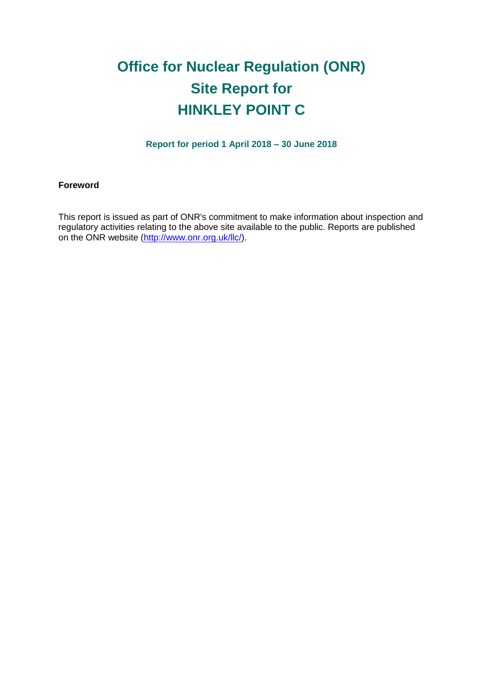# **Office for Nuclear Regulation (ONR) Site Report for HINKLEY POINT C**

**Report for period 1 April 2018 – 30 June 2018**

#### **Foreword**

This report is issued as part of ONR's commitment to make information about inspection and regulatory activities relating to the above site available to the public. Reports are published on the ONR website [\(http://www.onr.org.uk/llc/\)](http://www.onr.org.uk/llc/).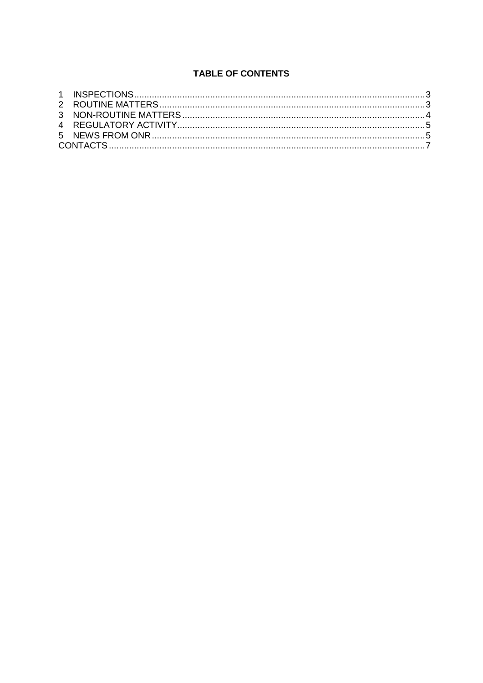# **TABLE OF CONTENTS**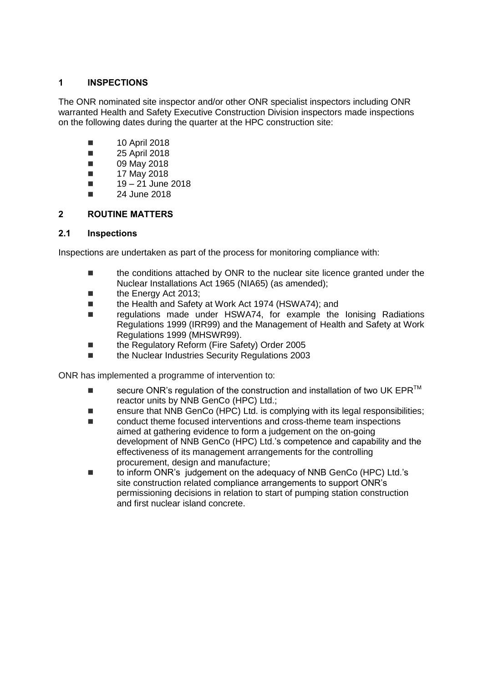## <span id="page-2-0"></span>**1 INSPECTIONS**

The ONR nominated site inspector and/or other ONR specialist inspectors including ONR warranted Health and Safety Executive Construction Division inspectors made inspections on the following dates during the quarter at the HPC construction site:

- **10 April 2018**
- **25 April 2018**
- **09 May 2018**
- $\blacksquare$  17 May 2018
- $19 21$  June 2018
- $\blacksquare$  24 June 2018

## <span id="page-2-1"></span>**2 ROUTINE MATTERS**

#### **2.1 Inspections**

Inspections are undertaken as part of the process for monitoring compliance with:

- **the conditions attached by ONR to the nuclear site licence granted under the** Nuclear Installations Act 1965 (NIA65) (as amended);
- **the Energy Act 2013;**
- the Health and Safety at Work Act 1974 (HSWA74); and
- regulations made under HSWA74, for example the Ionising Radiations Regulations 1999 (IRR99) and the Management of Health and Safety at Work Regulations 1999 (MHSWR99).
- the Regulatory Reform (Fire Safety) Order 2005
- the Nuclear Industries Security Regulations 2003

ONR has implemented a programme of intervention to:

- secure ONR's regulation of the construction and installation of two UK EPR<sup>TM</sup> reactor units by NNB GenCo (HPC) Ltd.;
- ensure that NNB GenCo (HPC) Ltd. is complying with its legal responsibilities;
- conduct theme focused interventions and cross-theme team inspections aimed at gathering evidence to form a judgement on the on-going development of NNB GenCo (HPC) Ltd.'s competence and capability and the effectiveness of its management arrangements for the controlling procurement, design and manufacture;
- to inform ONR's judgement on the adequacy of NNB GenCo (HPC) Ltd.'s site construction related compliance arrangements to support ONR's permissioning decisions in relation to start of pumping station construction and first nuclear island concrete.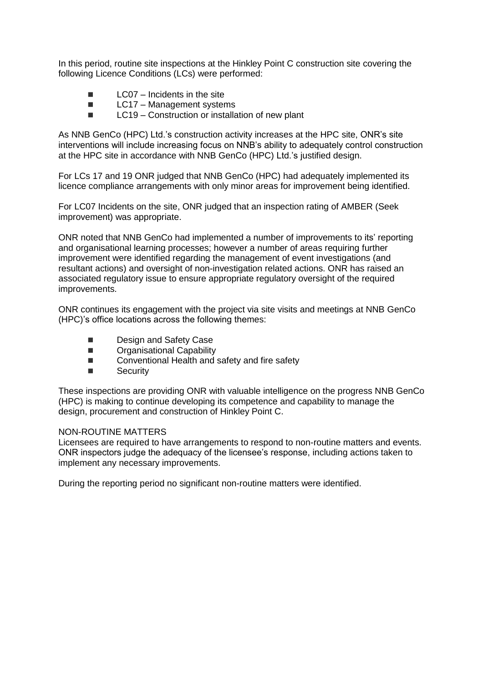In this period, routine site inspections at the Hinkley Point C construction site covering the following Licence Conditions (LCs) were performed:

- $\blacksquare$  LC07 Incidents in the site
- $\blacksquare$  LC17 Management systems
- $\blacksquare$  LC19 Construction or installation of new plant

As NNB GenCo (HPC) Ltd.'s construction activity increases at the HPC site, ONR's site interventions will include increasing focus on NNB's ability to adequately control construction at the HPC site in accordance with NNB GenCo (HPC) Ltd.'s justified design.

For LCs 17 and 19 ONR judged that NNB GenCo (HPC) had adequately implemented its licence compliance arrangements with only minor areas for improvement being identified.

For LC07 Incidents on the site, ONR judged that an inspection rating of AMBER (Seek improvement) was appropriate.

ONR noted that NNB GenCo had implemented a number of improvements to its' reporting and organisational learning processes; however a number of areas requiring further improvement were identified regarding the management of event investigations (and resultant actions) and oversight of non-investigation related actions. ONR has raised an associated regulatory issue to ensure appropriate regulatory oversight of the required improvements.

ONR continues its engagement with the project via site visits and meetings at NNB GenCo (HPC)'s office locations across the following themes:

- Design and Safety Case
- **E** Organisational Capability
- Conventional Health and safety and fire safety
- Security

These inspections are providing ONR with valuable intelligence on the progress NNB GenCo (HPC) is making to continue developing its competence and capability to manage the design, procurement and construction of Hinkley Point C.

#### <span id="page-3-0"></span>NON-ROUTINE MATTERS

Licensees are required to have arrangements to respond to non-routine matters and events. ONR inspectors judge the adequacy of the licensee's response, including actions taken to implement any necessary improvements.

During the reporting period no significant non-routine matters were identified.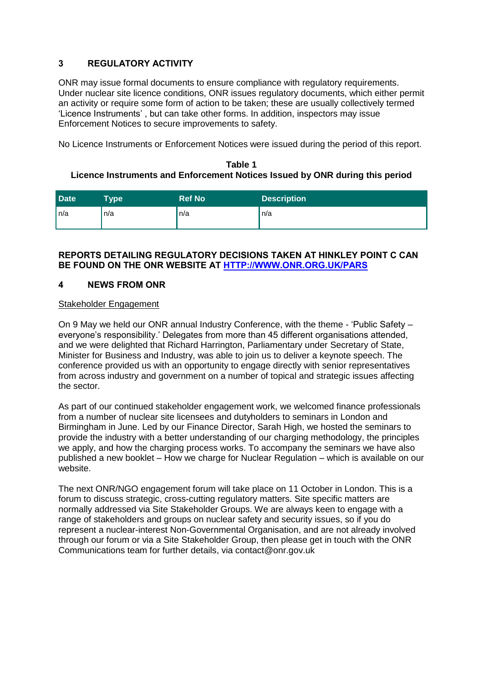# <span id="page-4-0"></span>**3 REGULATORY ACTIVITY**

ONR may issue formal documents to ensure compliance with regulatory requirements. Under nuclear site licence conditions, ONR issues regulatory documents, which either permit an activity or require some form of action to be taken; these are usually collectively termed 'Licence Instruments' , but can take other forms. In addition, inspectors may issue Enforcement Notices to secure improvements to safety.

No Licence Instruments or Enforcement Notices were issued during the period of this report.

#### **Table 1 Licence Instruments and Enforcement Notices Issued by ONR during this period**

| <b>Date</b> | <b>Type</b> | <b>Ref No</b> | <b>Description</b> |
|-------------|-------------|---------------|--------------------|
| l n/a       | n/a         | n/a           | ∣n/a               |

#### **REPORTS DETAILING REGULATORY DECISIONS TAKEN AT HINKLEY POINT C CAN BE FOUND ON THE ONR WEBSITE AT [HTTP://WWW.ONR.ORG.UK/PARS](http://www.onr.org.uk/pars/index.htm)**

#### <span id="page-4-1"></span>**4 NEWS FROM ONR**

#### Stakeholder Engagement

On 9 May we held our ONR annual Industry Conference, with the theme - 'Public Safety – everyone's responsibility.' Delegates from more than 45 different organisations attended, and we were delighted that Richard Harrington, Parliamentary under Secretary of State, Minister for Business and Industry, was able to join us to deliver a keynote speech. The conference provided us with an opportunity to engage directly with senior representatives from across industry and government on a number of topical and strategic issues affecting the sector.

As part of our continued stakeholder engagement work, we welcomed finance professionals from a number of nuclear site licensees and dutyholders to seminars in London and Birmingham in June. Led by our Finance Director, Sarah High, we hosted the seminars to provide the industry with a better understanding of our charging methodology, the principles we apply, and how the charging process works. To accompany the seminars we have also published a new booklet – How we charge for Nuclear Regulation – which is available on our website.

The next ONR/NGO engagement forum will take place on 11 October in London. This is a forum to discuss strategic, cross-cutting regulatory matters. Site specific matters are normally addressed via Site Stakeholder Groups. We are always keen to engage with a range of stakeholders and groups on nuclear safety and security issues, so if you do represent a nuclear-interest Non-Governmental Organisation, and are not already involved through our forum or via a Site Stakeholder Group, then please get in touch with the ONR Communications team for further details, via contact@onr.gov.uk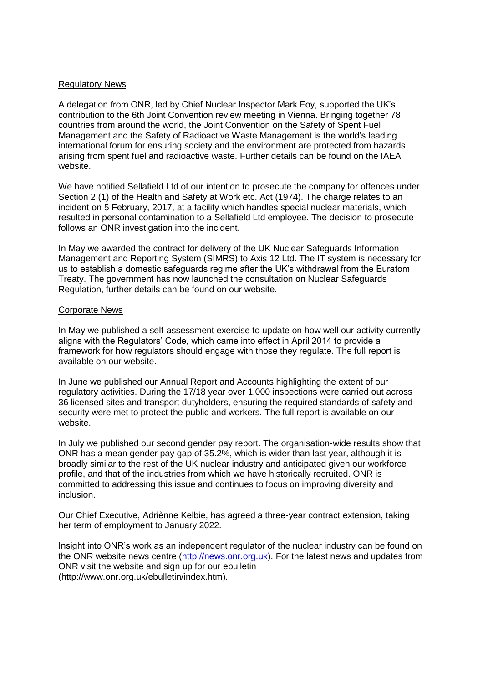#### Regulatory News

A delegation from ONR, led by Chief Nuclear Inspector Mark Foy, supported the UK's contribution to the 6th Joint Convention review meeting in Vienna. Bringing together 78 countries from around the world, the Joint Convention on the Safety of Spent Fuel Management and the Safety of Radioactive Waste Management is the world's leading international forum for ensuring society and the environment are protected from hazards arising from spent fuel and radioactive waste. Further details can be found on the IAEA website.

We have notified Sellafield Ltd of our intention to prosecute the company for offences under Section 2 (1) of the Health and Safety at Work etc. Act (1974). The charge relates to an incident on 5 February, 2017, at a facility which handles special nuclear materials, which resulted in personal contamination to a Sellafield Ltd employee. The decision to prosecute follows an ONR investigation into the incident.

In May we awarded the contract for delivery of the UK Nuclear Safeguards Information Management and Reporting System (SIMRS) to Axis 12 Ltd. The IT system is necessary for us to establish a domestic safeguards regime after the UK's withdrawal from the Euratom Treaty. The government has now launched the consultation on Nuclear Safeguards Regulation, further details can be found on our website.

#### Corporate News

In May we published a self-assessment exercise to update on how well our activity currently aligns with the Regulators' Code, which came into effect in April 2014 to provide a framework for how regulators should engage with those they regulate. The full report is available on our website.

In June we published our Annual Report and Accounts highlighting the extent of our regulatory activities. During the 17/18 year over 1,000 inspections were carried out across 36 licensed sites and transport dutyholders, ensuring the required standards of safety and security were met to protect the public and workers. The full report is available on our website.

In July we published our second gender pay report. The organisation-wide results show that ONR has a mean gender pay gap of 35.2%, which is wider than last year, although it is broadly similar to the rest of the UK nuclear industry and anticipated given our workforce profile, and that of the industries from which we have historically recruited. ONR is committed to addressing this issue and continues to focus on improving diversity and inclusion.

Our Chief Executive, Adriènne Kelbie, has agreed a three-year contract extension, taking her term of employment to January 2022.

Insight into ONR's work as an independent regulator of the nuclear industry can be found on the ONR website news centre [\(http://news.onr.org.uk\)](http://news.onr.org.uk/). For the latest news and updates from ONR visit the website and sign up for our ebulletin [\(http://www.onr.org.uk/ebulletin/index.htm\)](http://www.onr.org.uk/ebulletin/index.htm).